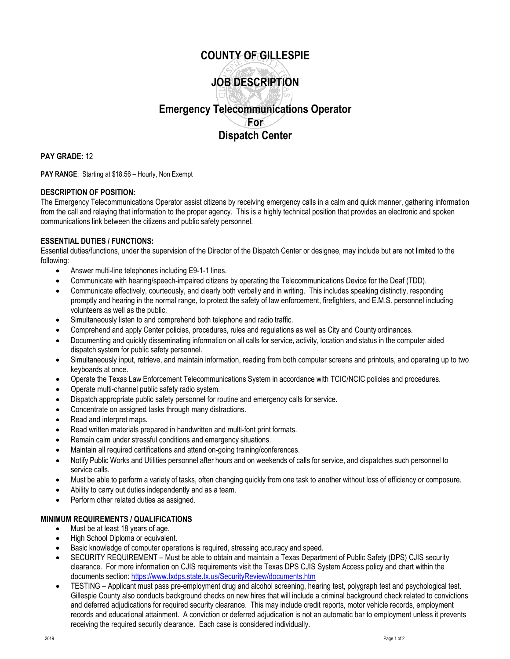### **COUNTY OF GILLESPIE**

# **JOB DESCRIPTION**

## **Emergency Telecommunications Operator For Dispatch Center**

**PAY GRADE:** 12

PAY RANGE: Starting at \$18.56 - Hourly, Non Exempt

#### **DESCRIPTION OF POSITION:**

The Emergency Telecommunications Operator assist citizens by receiving emergency calls in a calm and quick manner, gathering information from the call and relaying that information to the proper agency. This is a highly technical position that provides an electronic and spoken communications link between the citizens and public safety personnel.

#### **ESSENTIAL DUTIES / FUNCTIONS:**

Essential duties/functions, under the supervision of the Director of the Dispatch Center or designee, may include but are not limited to the following:

- Answer multi-line telephones including E9-1-1 lines.
- Communicate with hearing/speech-impaired citizens by operating the Telecommunications Device for the Deaf (TDD).
- Communicate effectively, courteously, and clearly both verbally and in writing. This includes speaking distinctly, responding promptly and hearing in the normal range, to protect the safety of law enforcement, firefighters, and E.M.S. personnel including volunteers as well as the public.
- Simultaneously listen to and comprehend both telephone and radio traffic.
- Comprehend and apply Center policies, procedures, rules and regulations as well as City and County ordinances.
- Documenting and quickly disseminating information on all calls for service, activity, location and status in the computer aided dispatch system for public safety personnel.
- Simultaneously input, retrieve, and maintain information, reading from both computer screens and printouts, and operating up to two keyboards at once.
- Operate the Texas Law Enforcement Telecommunications System in accordance with TCIC/NCIC policies and procedures.
- Operate multi-channel public safety radio system.
- Dispatch appropriate public safety personnel for routine and emergency calls for service.
- Concentrate on assigned tasks through many distractions.
- Read and interpret maps.
- Read written materials prepared in handwritten and multi-font print formats.
- Remain calm under stressful conditions and emergency situations.
- Maintain all required certifications and attend on-going training/conferences.
- Notify Public Works and Utilities personnel after hours and on weekends of calls for service, and dispatches such personnel to service calls.
- Must be able to perform a variety of tasks, often changing quickly from one task to another without loss of efficiency or composure.
- Ability to carry out duties independently and as a team.
- Perform other related duties as assigned.

#### **MINIMUM REQUIREMENTS / QUALIFICATIONS**

- Must be at least 18 years of age.
- High School Diploma or equivalent.
- Basic knowledge of computer operations is required, stressing accuracy and speed.
- SECURITY REQUIREMENT Must be able to obtain and maintain a Texas Department of Public Safety (DPS) CJIS security clearance. For more information on CJIS requirements visit the Texas DPS CJIS System Access policy and chart within the documents section:<https://www.txdps.state.tx.us/SecurityReview/documents.htm>
- TESTING Applicant must pass pre-employment drug and alcohol screening, hearing test, polygraph test and psychological test. Gillespie County also conducts background checks on new hires that will include a criminal background check related to convictions and deferred adjudications for required security clearance. This may include credit reports, motor vehicle records, employment records and educational attainment. A conviction or deferred adjudication is not an automatic bar to employment unless it prevents receiving the required security clearance. Each case is considered individually.